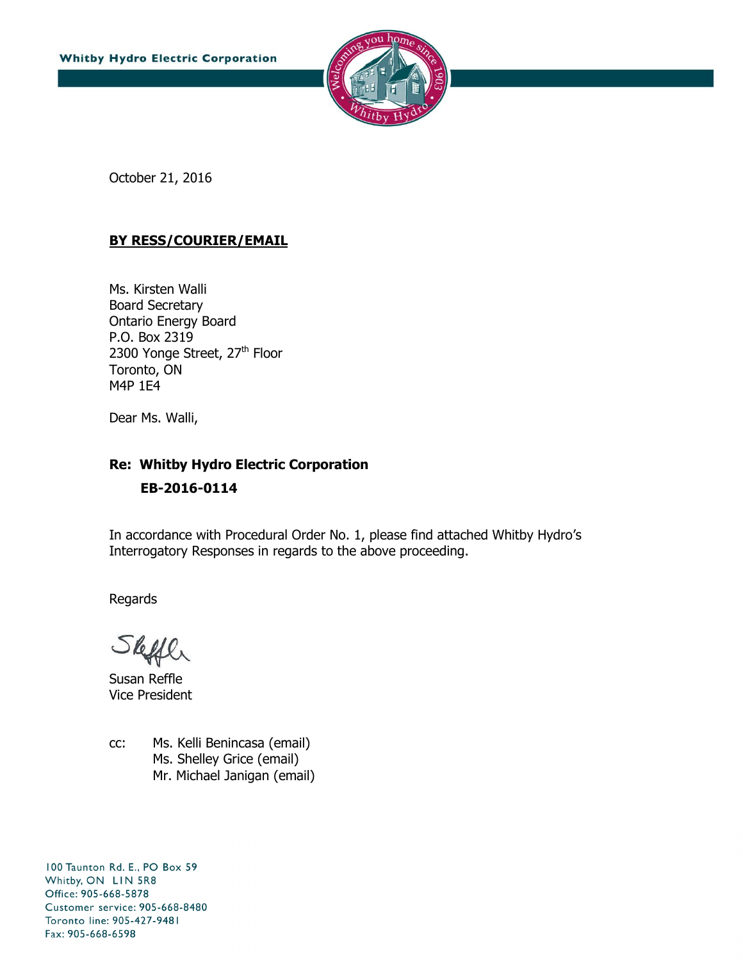

October 21, 2016

#### **BY RESS/COURIER/EMAIL**

Ms. Kirsten Walli Board Secretary Ontario Energy Board P.O. Box 2319 2300 Yonge Street, 27<sup>th</sup> Floor Toronto, ON M4P 1E4

Dear Ms. Walli,

# **Re: Whitby Hydro Electric Corporation EB-2016-0114**

In accordance with Procedural Order No. 1, please find attached Whitby Hydro's Interrogatory Responses in regards to the above proceeding.

Regards

Theffe

Susan Reffle Vice President

cc: Ms. Kelli Benincasa (email) Ms. Shelley Grice (email) Mr. Michael Janigan (email)

100 Taunton Rd. E., PO Box 59 Whitby, ON LIN 5R8 Office: 905-668-5878 Customer service: 905-668-8480 Toronto line: 905-427-9481 Fax: 905-668-6598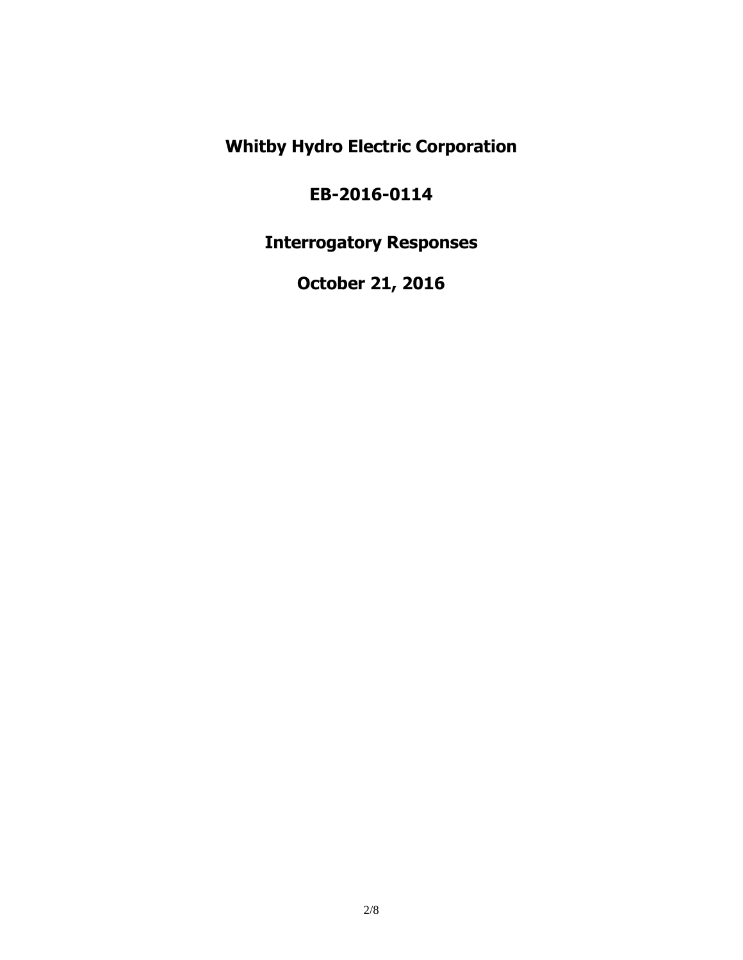**Whitby Hydro Electric Corporation**

# **EB-2016-0114**

**Interrogatory Responses**

**October 21, 2016**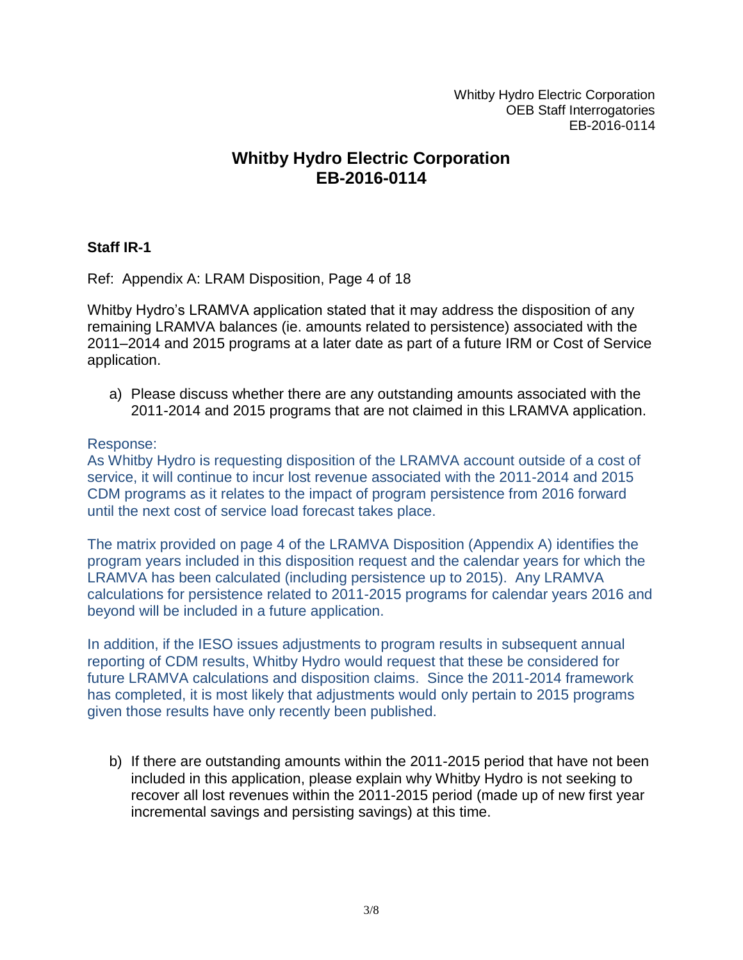Whitby Hydro Electric Corporation OEB Staff Interrogatories EB-2016-0114

## **Whitby Hydro Electric Corporation EB-2016-0114**

## **Staff IR-1**

Ref: Appendix A: LRAM Disposition, Page 4 of 18

Whitby Hydro's LRAMVA application stated that it may address the disposition of any remaining LRAMVA balances (ie. amounts related to persistence) associated with the 2011–2014 and 2015 programs at a later date as part of a future IRM or Cost of Service application.

a) Please discuss whether there are any outstanding amounts associated with the 2011-2014 and 2015 programs that are not claimed in this LRAMVA application.

Response:

As Whitby Hydro is requesting disposition of the LRAMVA account outside of a cost of service, it will continue to incur lost revenue associated with the 2011-2014 and 2015 CDM programs as it relates to the impact of program persistence from 2016 forward until the next cost of service load forecast takes place.

The matrix provided on page 4 of the LRAMVA Disposition (Appendix A) identifies the program years included in this disposition request and the calendar years for which the LRAMVA has been calculated (including persistence up to 2015). Any LRAMVA calculations for persistence related to 2011-2015 programs for calendar years 2016 and beyond will be included in a future application.

In addition, if the IESO issues adjustments to program results in subsequent annual reporting of CDM results, Whitby Hydro would request that these be considered for future LRAMVA calculations and disposition claims. Since the 2011-2014 framework has completed, it is most likely that adjustments would only pertain to 2015 programs given those results have only recently been published.

b) If there are outstanding amounts within the 2011-2015 period that have not been included in this application, please explain why Whitby Hydro is not seeking to recover all lost revenues within the 2011-2015 period (made up of new first year incremental savings and persisting savings) at this time.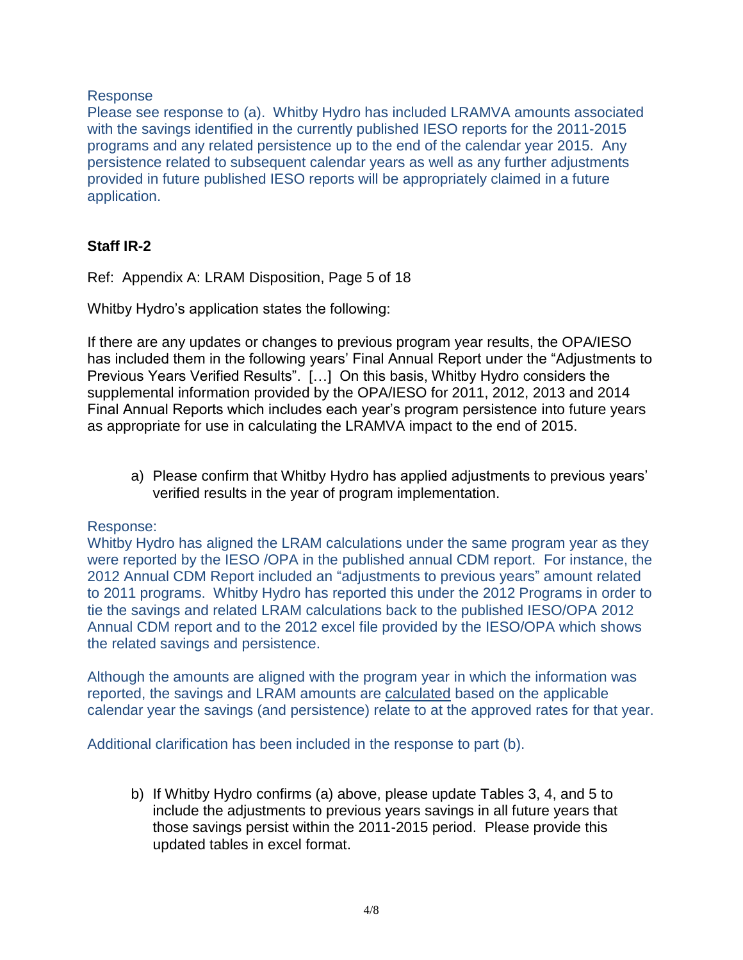## Response

Please see response to (a). Whitby Hydro has included LRAMVA amounts associated with the savings identified in the currently published IESO reports for the 2011-2015 programs and any related persistence up to the end of the calendar year 2015. Any persistence related to subsequent calendar years as well as any further adjustments provided in future published IESO reports will be appropriately claimed in a future application.

## **Staff IR-2**

Ref: Appendix A: LRAM Disposition, Page 5 of 18

Whitby Hydro's application states the following:

If there are any updates or changes to previous program year results, the OPA/IESO has included them in the following years' Final Annual Report under the "Adjustments to Previous Years Verified Results". […] On this basis, Whitby Hydro considers the supplemental information provided by the OPA/IESO for 2011, 2012, 2013 and 2014 Final Annual Reports which includes each year's program persistence into future years as appropriate for use in calculating the LRAMVA impact to the end of 2015.

a) Please confirm that Whitby Hydro has applied adjustments to previous years' verified results in the year of program implementation.

## Response:

Whitby Hydro has aligned the LRAM calculations under the same program year as they were reported by the IESO /OPA in the published annual CDM report. For instance, the 2012 Annual CDM Report included an "adjustments to previous years" amount related to 2011 programs. Whitby Hydro has reported this under the 2012 Programs in order to tie the savings and related LRAM calculations back to the published IESO/OPA 2012 Annual CDM report and to the 2012 excel file provided by the IESO/OPA which shows the related savings and persistence.

Although the amounts are aligned with the program year in which the information was reported, the savings and LRAM amounts are calculated based on the applicable calendar year the savings (and persistence) relate to at the approved rates for that year.

Additional clarification has been included in the response to part (b).

b) If Whitby Hydro confirms (a) above, please update Tables 3, 4, and 5 to include the adjustments to previous years savings in all future years that those savings persist within the 2011-2015 period. Please provide this updated tables in excel format.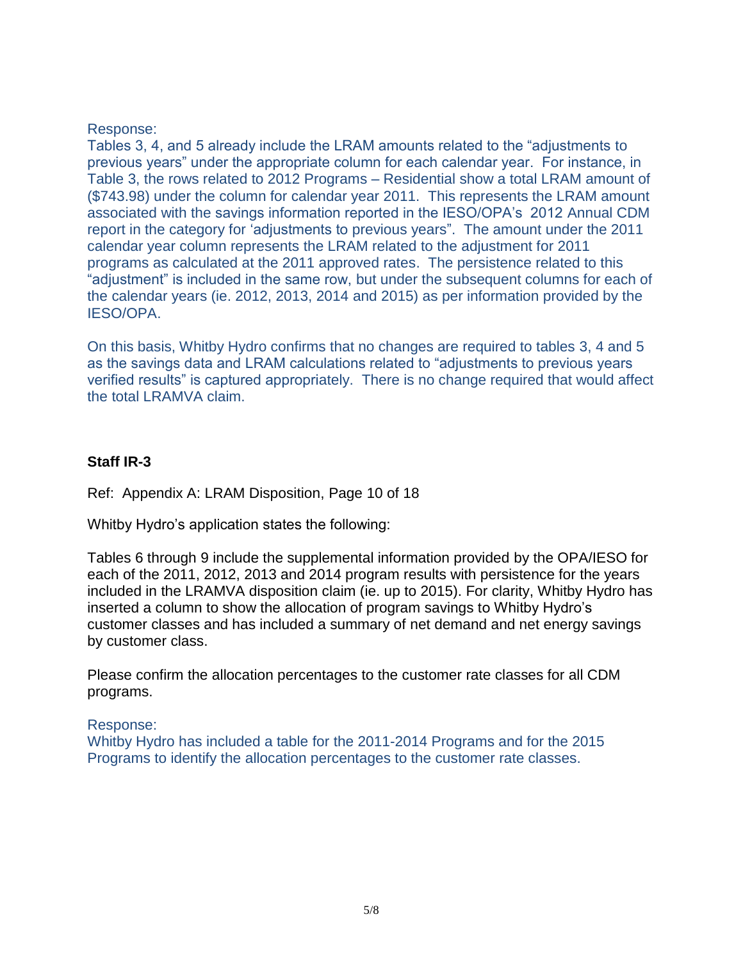### Response:

Tables 3, 4, and 5 already include the LRAM amounts related to the "adjustments to previous years" under the appropriate column for each calendar year. For instance, in Table 3, the rows related to 2012 Programs – Residential show a total LRAM amount of (\$743.98) under the column for calendar year 2011. This represents the LRAM amount associated with the savings information reported in the IESO/OPA's 2012 Annual CDM report in the category for 'adjustments to previous years". The amount under the 2011 calendar year column represents the LRAM related to the adjustment for 2011 programs as calculated at the 2011 approved rates. The persistence related to this "adjustment" is included in the same row, but under the subsequent columns for each of the calendar years (ie. 2012, 2013, 2014 and 2015) as per information provided by the IESO/OPA.

On this basis, Whitby Hydro confirms that no changes are required to tables 3, 4 and 5 as the savings data and LRAM calculations related to "adjustments to previous years verified results" is captured appropriately. There is no change required that would affect the total LRAMVA claim.

## **Staff IR-3**

Ref: Appendix A: LRAM Disposition, Page 10 of 18

Whitby Hydro's application states the following:

Tables 6 through 9 include the supplemental information provided by the OPA/IESO for each of the 2011, 2012, 2013 and 2014 program results with persistence for the years included in the LRAMVA disposition claim (ie. up to 2015). For clarity, Whitby Hydro has inserted a column to show the allocation of program savings to Whitby Hydro's customer classes and has included a summary of net demand and net energy savings by customer class.

Please confirm the allocation percentages to the customer rate classes for all CDM programs.

Response:

Whitby Hydro has included a table for the 2011-2014 Programs and for the 2015 Programs to identify the allocation percentages to the customer rate classes.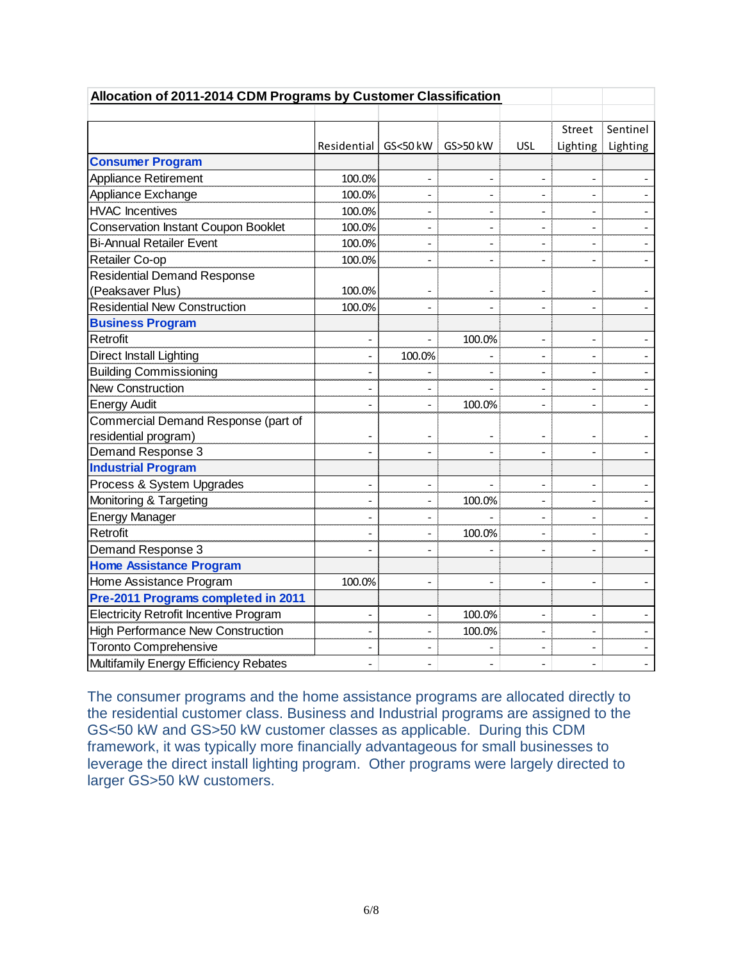| Allocation of 2011-2014 CDM Programs by Customer Classification |                        |                |                |                              |               |          |  |  |
|-----------------------------------------------------------------|------------------------|----------------|----------------|------------------------------|---------------|----------|--|--|
|                                                                 |                        |                |                |                              |               |          |  |  |
|                                                                 |                        |                |                |                              | <b>Street</b> | Sentinel |  |  |
|                                                                 | Residential   GS<50 kW |                | GS>50 kW       | <b>USL</b>                   | Lighting<br>1 | Lighting |  |  |
| <b>Consumer Program</b>                                         |                        |                |                |                              |               |          |  |  |
| Appliance Retirement                                            | 100.0%                 |                |                |                              |               |          |  |  |
| Appliance Exchange                                              | 100.0%                 |                |                | $\qquad \qquad \blacksquare$ |               |          |  |  |
| <b>HVAC</b> Incentives                                          | 100.0%                 |                |                | $\overline{a}$               |               |          |  |  |
| <b>Conservation Instant Coupon Booklet</b>                      | 100.0%                 |                |                |                              |               |          |  |  |
| <b>Bi-Annual Retailer Event</b>                                 | 100.0%                 |                |                |                              |               |          |  |  |
| Retailer Co-op                                                  | 100.0%                 |                |                | $\overline{\phantom{a}}$     |               |          |  |  |
| <b>Residential Demand Response</b>                              |                        |                |                |                              |               |          |  |  |
| (Peaksaver Plus)                                                | 100.0%                 |                |                |                              |               |          |  |  |
| <b>Residential New Construction</b>                             | 100.0%                 |                |                | $\overline{a}$               |               |          |  |  |
| <b>Business Program</b>                                         |                        |                |                |                              |               |          |  |  |
| Retrofit                                                        |                        |                | 100.0%         | $\overline{a}$               |               |          |  |  |
| <b>Direct Install Lighting</b>                                  |                        | 100.0%         |                |                              |               |          |  |  |
| <b>Building Commissioning</b>                                   |                        |                |                |                              |               |          |  |  |
| <b>New Construction</b>                                         |                        |                |                |                              |               |          |  |  |
| <b>Energy Audit</b>                                             |                        |                | 100.0%         |                              |               |          |  |  |
| Commercial Demand Response (part of                             |                        |                |                |                              |               |          |  |  |
| residential program)                                            |                        |                |                |                              |               |          |  |  |
| Demand Response 3                                               |                        |                |                |                              |               |          |  |  |
| <b>Industrial Program</b>                                       |                        |                |                |                              |               |          |  |  |
| Process & System Upgrades                                       |                        |                |                | $\overline{\phantom{a}}$     |               |          |  |  |
| Monitoring & Targeting                                          |                        |                | 100.0%         |                              |               |          |  |  |
| <b>Energy Manager</b>                                           |                        |                |                |                              |               |          |  |  |
| Retrofit                                                        |                        |                | 100.0%         | $\overline{a}$               |               |          |  |  |
| Demand Response 3                                               |                        |                |                |                              |               |          |  |  |
| <b>Home Assistance Program</b>                                  |                        |                |                |                              |               |          |  |  |
| Home Assistance Program                                         | 100.0%                 |                |                | $\blacksquare$               |               |          |  |  |
| Pre-2011 Programs completed in 2011                             |                        |                |                |                              |               |          |  |  |
| <b>Electricity Retrofit Incentive Program</b>                   |                        |                | 100.0%         |                              |               |          |  |  |
| <b>High Performance New Construction</b>                        |                        |                | 100.0%         |                              |               |          |  |  |
| <b>Toronto Comprehensive</b>                                    |                        |                |                |                              |               |          |  |  |
| Multifamily Energy Efficiency Rebates                           | $\frac{1}{2}$          | $\overline{a}$ | $\overline{a}$ |                              |               |          |  |  |

The consumer programs and the home assistance programs are allocated directly to the residential customer class. Business and Industrial programs are assigned to the GS<50 kW and GS>50 kW customer classes as applicable. During this CDM framework, it was typically more financially advantageous for small businesses to leverage the direct install lighting program. Other programs were largely directed to larger GS>50 kW customers.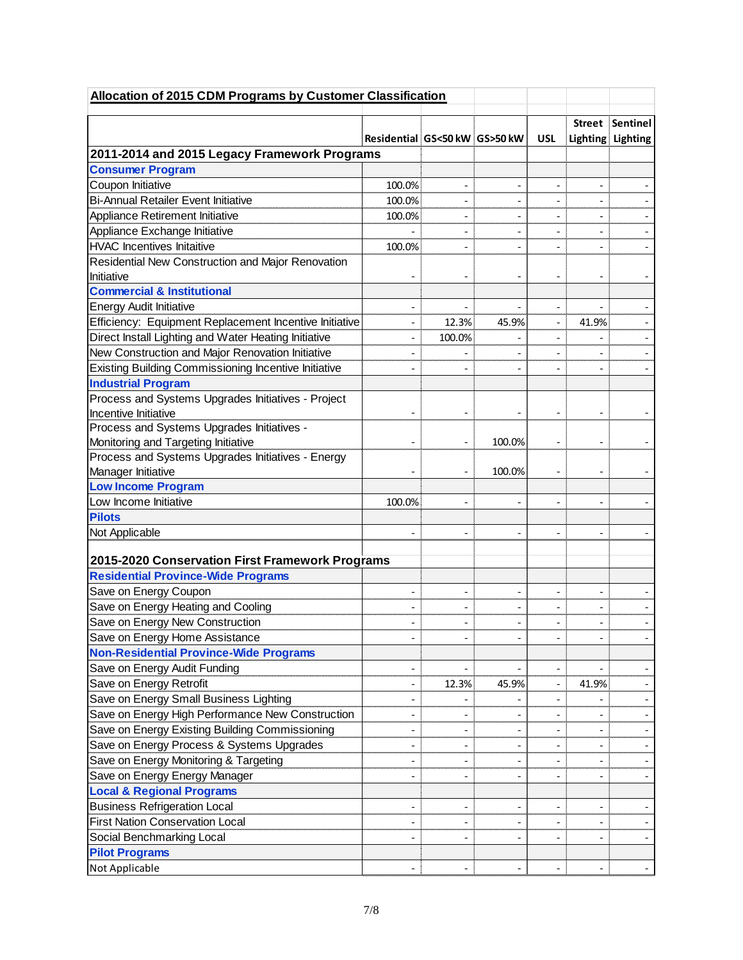| Allocation of 2015 CDM Programs by Customer Classification |                               |        |        |                              |       |                   |
|------------------------------------------------------------|-------------------------------|--------|--------|------------------------------|-------|-------------------|
|                                                            |                               |        |        |                              |       | Street Sentinel   |
|                                                            | Residential GS<50 kW GS>50 kW |        |        | <b>USL</b>                   |       | Lighting Lighting |
| 2011-2014 and 2015 Legacy Framework Programs               |                               |        |        |                              |       |                   |
| <b>Consumer Program</b>                                    |                               |        |        |                              |       |                   |
| Coupon Initiative                                          | 100.0%                        |        |        |                              |       |                   |
| <b>Bi-Annual Retailer Event Initiative</b>                 | 100.0%                        |        |        |                              |       |                   |
| Appliance Retirement Initiative                            | 100.0%                        |        |        |                              |       |                   |
| Appliance Exchange Initiative                              |                               |        |        | $\qquad \qquad \blacksquare$ |       |                   |
| <b>HVAC Incentives Initaitive</b>                          | 100.0%                        |        |        |                              |       |                   |
| Residential New Construction and Major Renovation          |                               |        |        |                              |       |                   |
| Initiative                                                 |                               |        |        |                              |       |                   |
| <b>Commercial &amp; Institutional</b>                      |                               |        |        |                              |       |                   |
|                                                            |                               |        |        |                              |       |                   |
| <b>Energy Audit Initiative</b>                             |                               |        |        | $\overline{\phantom{0}}$     |       |                   |
| Efficiency: Equipment Replacement Incentive Initiative     |                               | 12.3%  | 45.9%  | $\overline{\phantom{0}}$     | 41.9% |                   |
| Direct Install Lighting and Water Heating Initiative       | $\overline{a}$                | 100.0% |        | $\overline{\phantom{a}}$     |       |                   |
| New Construction and Major Renovation Initiative           |                               |        |        |                              |       |                   |
| Existing Building Commissioning Incentive Initiative       |                               |        |        |                              |       |                   |
| <b>Industrial Program</b>                                  |                               |        |        |                              |       |                   |
| Process and Systems Upgrades Initiatives - Project         |                               |        |        |                              |       |                   |
| Incentive Initiative                                       |                               |        |        |                              |       |                   |
| Process and Systems Upgrades Initiatives -                 |                               |        |        |                              |       |                   |
| Monitoring and Targeting Initiative                        |                               |        | 100.0% |                              |       |                   |
| Process and Systems Upgrades Initiatives - Energy          |                               |        |        |                              |       |                   |
| Manager Initiative                                         |                               |        | 100.0% |                              |       |                   |
| <b>Low Income Program</b>                                  |                               |        |        |                              |       |                   |
| Low Income Initiative                                      | 100.0%                        |        |        | $\overline{a}$               |       |                   |
| <b>Pilots</b>                                              |                               |        |        |                              |       |                   |
| Not Applicable                                             |                               |        |        |                              |       |                   |
|                                                            |                               |        |        |                              |       |                   |
| 2015-2020 Conservation First Framework Programs            |                               |        |        |                              |       |                   |
| <b>Residential Province-Wide Programs</b>                  |                               |        |        |                              |       |                   |
| Save on Energy Coupon                                      |                               |        |        | $\overline{\phantom{m}}$     |       |                   |
| Save on Energy Heating and Cooling                         |                               |        |        |                              |       |                   |
| Save on Energy New Construction                            |                               |        |        |                              |       |                   |
| Save on Energy Home Assistance                             |                               |        |        |                              |       |                   |
| <b>Non-Residential Province-Wide Programs</b>              |                               |        |        |                              |       |                   |
| Save on Energy Audit Funding                               |                               |        |        |                              |       |                   |
| Save on Energy Retrofit                                    |                               | 12.3%  | 45.9%  |                              | 41.9% |                   |
| Save on Energy Small Business Lighting                     |                               |        |        |                              |       |                   |
| Save on Energy High Performance New Construction           |                               |        |        |                              |       |                   |
| Save on Energy Existing Building Commissioning             |                               |        |        | $\overline{\phantom{a}}$     |       |                   |
| Save on Energy Process & Systems Upgrades                  |                               |        |        |                              |       |                   |
| Save on Energy Monitoring & Targeting                      |                               |        |        |                              |       |                   |
| Save on Energy Energy Manager                              |                               |        |        |                              |       |                   |
| <b>Local &amp; Regional Programs</b>                       |                               |        |        |                              |       |                   |
| <b>Business Refrigeration Local</b>                        |                               |        |        |                              |       |                   |
| <b>First Nation Conservation Local</b>                     |                               |        |        |                              |       |                   |
| Social Benchmarking Local                                  |                               |        |        | -                            |       |                   |
| <b>Pilot Programs</b>                                      |                               |        |        |                              |       |                   |
| Not Applicable                                             |                               |        |        | $\overline{\phantom{a}}$     |       |                   |
|                                                            |                               |        |        |                              |       |                   |